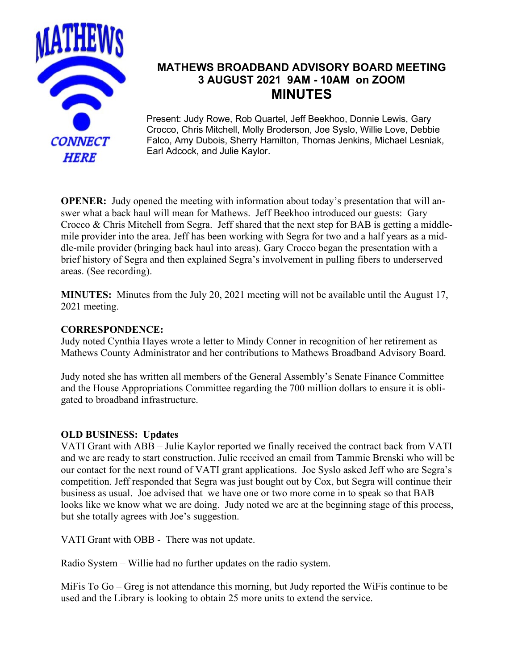

# **MATHEWS BROADBAND ADVISORY BOARD MEETING 3 AUGUST 2021 9AM - 10AM on ZOOM MINUTES**

Present: Judy Rowe, Rob Quartel, Jeff Beekhoo, Donnie Lewis, Gary Crocco, Chris Mitchell, Molly Broderson, Joe Syslo, Willie Love, Debbie Falco, Amy Dubois, Sherry Hamilton, Thomas Jenkins, Michael Lesniak, Earl Adcock, and Julie Kaylor.

**OPENER:** Judy opened the meeting with information about today's presentation that will answer what a back haul will mean for Mathews. Jeff Beekhoo introduced our guests: Gary Crocco & Chris Mitchell from Segra. Jeff shared that the next step for BAB is getting a middlemile provider into the area. Jeff has been working with Segra for two and a half years as a middle-mile provider (bringing back haul into areas). Gary Crocco began the presentation with a brief history of Segra and then explained Segra's involvement in pulling fibers to underserved areas. (See recording).

**MINUTES:** Minutes from the July 20, 2021 meeting will not be available until the August 17, 2021 meeting.

### **CORRESPONDENCE:**

Judy noted Cynthia Hayes wrote a letter to Mindy Conner in recognition of her retirement as Mathews County Administrator and her contributions to Mathews Broadband Advisory Board.

Judy noted she has written all members of the General Assembly's Senate Finance Committee and the House Appropriations Committee regarding the 700 million dollars to ensure it is obligated to broadband infrastructure.

#### **OLD BUSINESS: Updates**

VATI Grant with ABB – Julie Kaylor reported we finally received the contract back from VATI and we are ready to start construction. Julie received an email from Tammie Brenski who will be our contact for the next round of VATI grant applications. Joe Syslo asked Jeff who are Segra's competition. Jeff responded that Segra was just bought out by Cox, but Segra will continue their business as usual. Joe advised that we have one or two more come in to speak so that BAB looks like we know what we are doing. Judy noted we are at the beginning stage of this process, but she totally agrees with Joe's suggestion.

VATI Grant with OBB - There was not update.

Radio System – Willie had no further updates on the radio system.

MiFis To Go – Greg is not attendance this morning, but Judy reported the WiFis continue to be used and the Library is looking to obtain 25 more units to extend the service.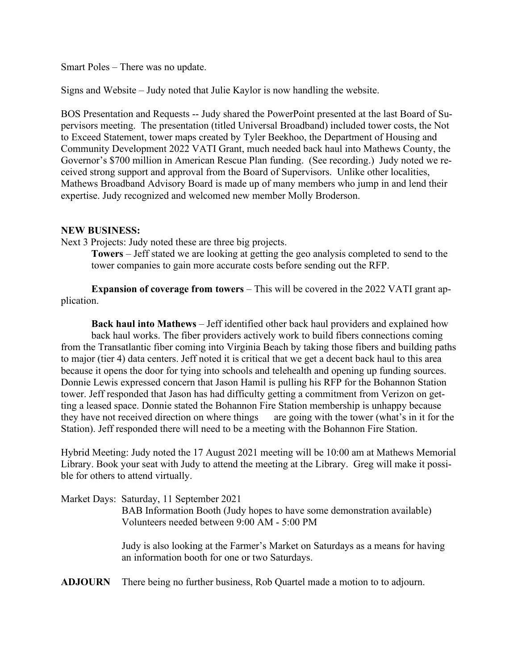Smart Poles – There was no update.

Signs and Website – Judy noted that Julie Kaylor is now handling the website.

BOS Presentation and Requests -- Judy shared the PowerPoint presented at the last Board of Supervisors meeting. The presentation (titled Universal Broadband) included tower costs, the Not to Exceed Statement, tower maps created by Tyler Beekhoo, the Department of Housing and Community Development 2022 VATI Grant, much needed back haul into Mathews County, the Governor's \$700 million in American Rescue Plan funding. (See recording.) Judy noted we received strong support and approval from the Board of Supervisors. Unlike other localities, Mathews Broadband Advisory Board is made up of many members who jump in and lend their expertise. Judy recognized and welcomed new member Molly Broderson.

#### **NEW BUSINESS:**

Next 3 Projects: Judy noted these are three big projects.

**Towers** – Jeff stated we are looking at getting the geo analysis completed to send to the tower companies to gain more accurate costs before sending out the RFP.

**Expansion of coverage from towers** – This will be covered in the 2022 VATI grant application.

**Back haul into Mathews** – Jeff identified other back haul providers and explained how back haul works. The fiber providers actively work to build fibers connections coming from the Transatlantic fiber coming into Virginia Beach by taking those fibers and building paths to major (tier 4) data centers. Jeff noted it is critical that we get a decent back haul to this area because it opens the door for tying into schools and telehealth and opening up funding sources. Donnie Lewis expressed concern that Jason Hamil is pulling his RFP for the Bohannon Station tower. Jeff responded that Jason has had difficulty getting a commitment from Verizon on getting a leased space. Donnie stated the Bohannon Fire Station membership is unhappy because they have not received direction on where things are going with the tower (what's in it for the Station). Jeff responded there will need to be a meeting with the Bohannon Fire Station.

Hybrid Meeting: Judy noted the 17 August 2021 meeting will be 10:00 am at Mathews Memorial Library. Book your seat with Judy to attend the meeting at the Library. Greg will make it possible for others to attend virtually.

| Market Days: Saturday, 11 September 2021                                                                                                                                                                                                                                                                                           |
|------------------------------------------------------------------------------------------------------------------------------------------------------------------------------------------------------------------------------------------------------------------------------------------------------------------------------------|
| BAB Information Booth (Judy hopes to have some demonstration available)                                                                                                                                                                                                                                                            |
| Volunteers needed between 9:00 AM - 5:00 PM                                                                                                                                                                                                                                                                                        |
| $\mathbf{I}$ $\mathbf{I}$ $\mathbf{I}$ $\mathbf{I}$ $\mathbf{I}$ $\mathbf{I}$ $\mathbf{I}$ $\mathbf{I}$ $\mathbf{I}$ $\mathbf{I}$ $\mathbf{I}$ $\mathbf{I}$ $\mathbf{I}$ $\mathbf{I}$ $\mathbf{I}$ $\mathbf{I}$ $\mathbf{I}$ $\mathbf{I}$ $\mathbf{I}$ $\mathbf{I}$ $\mathbf{I}$ $\mathbf{I}$ $\mathbf{I}$ $\mathbf{I}$ $\mathbf{$ |

Judy is also looking at the Farmer's Market on Saturdays as a means for having an information booth for one or two Saturdays.

**ADJOURN** There being no further business, Rob Quartel made a motion to to adjourn.